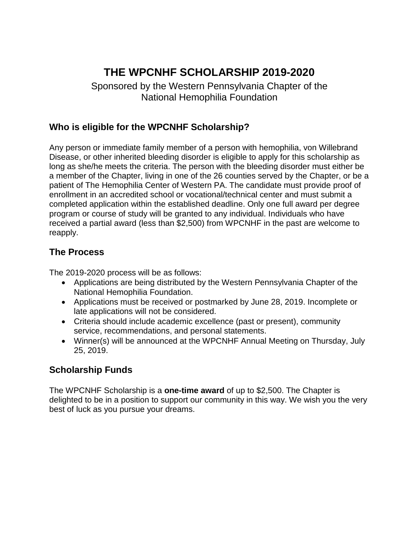# **THE WPCNHF SCHOLARSHIP 2019-2020**

Sponsored by the Western Pennsylvania Chapter of the National Hemophilia Foundation

### **Who is eligible for the WPCNHF Scholarship?**

Any person or immediate family member of a person with hemophilia, von Willebrand Disease, or other inherited bleeding disorder is eligible to apply for this scholarship as long as she/he meets the criteria. The person with the bleeding disorder must either be a member of the Chapter, living in one of the 26 counties served by the Chapter, or be a patient of The Hemophilia Center of Western PA. The candidate must provide proof of enrollment in an accredited school or vocational/technical center and must submit a completed application within the established deadline. Only one full award per degree program or course of study will be granted to any individual. Individuals who have received a partial award (less than \$2,500) from WPCNHF in the past are welcome to reapply.

### **The Process**

The 2019-2020 process will be as follows:

- Applications are being distributed by the Western Pennsylvania Chapter of the National Hemophilia Foundation.
- Applications must be received or postmarked by June 28, 2019. Incomplete or late applications will not be considered.
- Criteria should include academic excellence (past or present), community service, recommendations, and personal statements.
- Winner(s) will be announced at the WPCNHF Annual Meeting on Thursday, July 25, 2019.

### **Scholarship Funds**

The WPCNHF Scholarship is a **one-time award** of up to \$2,500. The Chapter is delighted to be in a position to support our community in this way. We wish you the very best of luck as you pursue your dreams.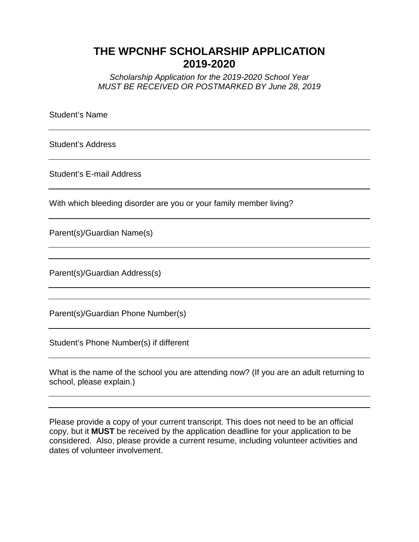## **THE WPCNHF SCHOLARSHIP APPLICATION 2019-2020**

*Scholarship Application for the 2019-2020 School Year MUST BE RECEIVED OR POSTMARKED BY June 28, 2019*

Student's Name

Student's Address

Student's E-mail Address

With which bleeding disorder are you or your family member living?

Parent(s)/Guardian Name(s)

Parent(s)/Guardian Address(s)

Parent(s)/Guardian Phone Number(s)

Student's Phone Number(s) if different

What is the name of the school you are attending now? (If you are an adult returning to school, please explain.)

Please provide a copy of your current transcript. This does not need to be an official copy, but it **MUST** be received by the application deadline for your application to be considered. Also, please provide a current resume, including volunteer activities and dates of volunteer involvement.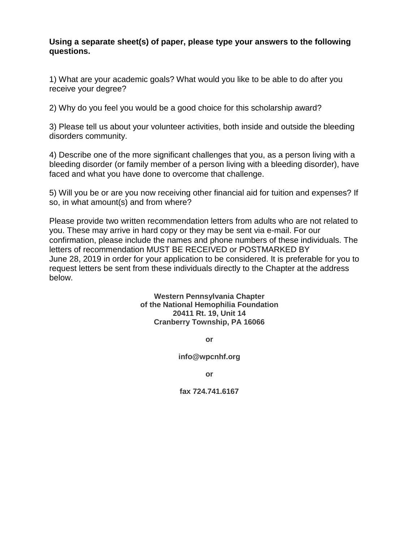#### **Using a separate sheet(s) of paper, please type your answers to the following questions.**

1) What are your academic goals? What would you like to be able to do after you receive your degree?

2) Why do you feel you would be a good choice for this scholarship award?

3) Please tell us about your volunteer activities, both inside and outside the bleeding disorders community.

4) Describe one of the more significant challenges that you, as a person living with a bleeding disorder (or family member of a person living with a bleeding disorder), have faced and what you have done to overcome that challenge.

5) Will you be or are you now receiving other financial aid for tuition and expenses? If so, in what amount(s) and from where?

Please provide two written recommendation letters from adults who are not related to you. These may arrive in hard copy or they may be sent via e-mail. For our confirmation, please include the names and phone numbers of these individuals. The letters of recommendation MUST BE RECEIVED or POSTMARKED BY June 28, 2019 in order for your application to be considered. It is preferable for you to request letters be sent from these individuals directly to the Chapter at the address below.

> **Western Pennsylvania Chapter of the National Hemophilia Foundation 20411 Rt. 19, Unit 14 Cranberry Township, PA 16066**

> > **or**

**info@wpcnhf.org**

**or**

**fax 724.741.6167**